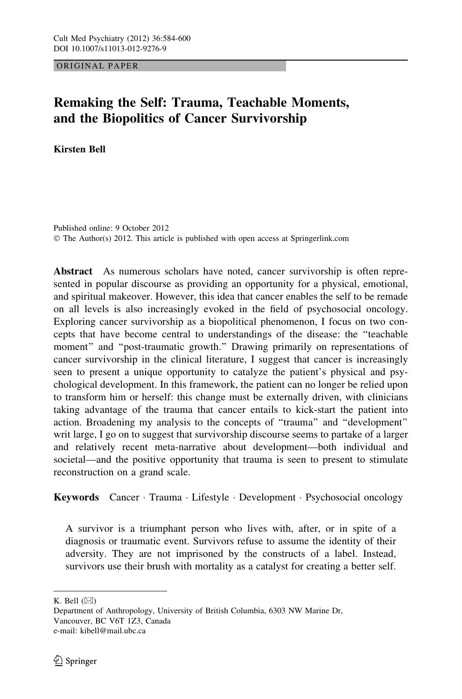ORIGINAL PAPER

# Remaking the Self: Trauma, Teachable Moments, and the Biopolitics of Cancer Survivorship

Kirsten Bell

Published online: 9 October 2012 © The Author(s) 2012. This article is published with open access at Springerlink.com

Abstract As numerous scholars have noted, cancer survivorship is often represented in popular discourse as providing an opportunity for a physical, emotional, and spiritual makeover. However, this idea that cancer enables the self to be remade on all levels is also increasingly evoked in the field of psychosocial oncology. Exploring cancer survivorship as a biopolitical phenomenon, I focus on two concepts that have become central to understandings of the disease: the ''teachable moment'' and ''post-traumatic growth.'' Drawing primarily on representations of cancer survivorship in the clinical literature, I suggest that cancer is increasingly seen to present a unique opportunity to catalyze the patient's physical and psychological development. In this framework, the patient can no longer be relied upon to transform him or herself: this change must be externally driven, with clinicians taking advantage of the trauma that cancer entails to kick-start the patient into action. Broadening my analysis to the concepts of ''trauma'' and ''development'' writ large, I go on to suggest that survivorship discourse seems to partake of a larger and relatively recent meta-narrative about development—both individual and societal—and the positive opportunity that trauma is seen to present to stimulate reconstruction on a grand scale.

Keywords Cancer · Trauma · Lifestyle · Development · Psychosocial oncology

A survivor is a triumphant person who lives with, after, or in spite of a diagnosis or traumatic event. Survivors refuse to assume the identity of their adversity. They are not imprisoned by the constructs of a label. Instead, survivors use their brush with mortality as a catalyst for creating a better self.

K. Bell  $(\boxtimes)$ 

Department of Anthropology, University of British Columbia, 6303 NW Marine Dr, Vancouver, BC V6T 1Z3, Canada e-mail: kibell@mail.ubc.ca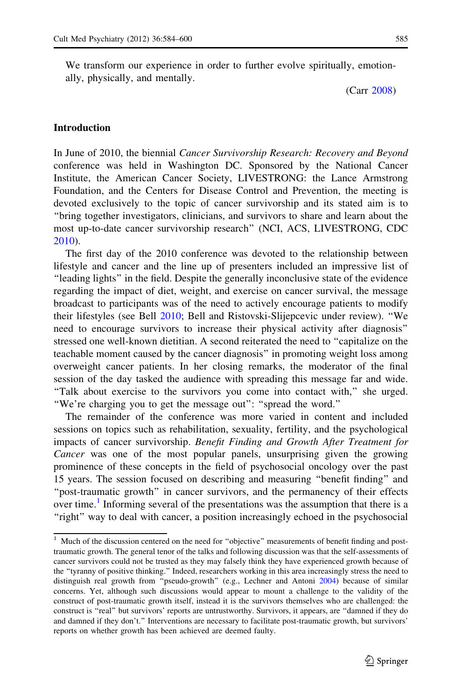(Carr [2008\)](#page-13-0)

## Introduction

In June of 2010, the biennial Cancer Survivorship Research: Recovery and Beyond conference was held in Washington DC. Sponsored by the National Cancer Institute, the American Cancer Society, LIVESTRONG: the Lance Armstrong Foundation, and the Centers for Disease Control and Prevention, the meeting is devoted exclusively to the topic of cancer survivorship and its stated aim is to ''bring together investigators, clinicians, and survivors to share and learn about the most up-to-date cancer survivorship research'' (NCI, ACS, LIVESTRONG, CDC [2010\)](#page-15-0).

The first day of the 2010 conference was devoted to the relationship between lifestyle and cancer and the line up of presenters included an impressive list of ''leading lights'' in the field. Despite the generally inconclusive state of the evidence regarding the impact of diet, weight, and exercise on cancer survival, the message broadcast to participants was of the need to actively encourage patients to modify their lifestyles (see Bell [2010](#page-13-0); Bell and Ristovski-Slijepcevic under review). ''We need to encourage survivors to increase their physical activity after diagnosis'' stressed one well-known dietitian. A second reiterated the need to ''capitalize on the teachable moment caused by the cancer diagnosis'' in promoting weight loss among overweight cancer patients. In her closing remarks, the moderator of the final session of the day tasked the audience with spreading this message far and wide. ''Talk about exercise to the survivors you come into contact with,'' she urged. "We're charging you to get the message out": "spread the word."

The remainder of the conference was more varied in content and included sessions on topics such as rehabilitation, sexuality, fertility, and the psychological impacts of cancer survivorship. Benefit Finding and Growth After Treatment for Cancer was one of the most popular panels, unsurprising given the growing prominence of these concepts in the field of psychosocial oncology over the past 15 years. The session focused on describing and measuring ''benefit finding'' and ''post-traumatic growth'' in cancer survivors, and the permanency of their effects over time.<sup>1</sup> Informing several of the presentations was the assumption that there is a "right" way to deal with cancer, a position increasingly echoed in the psychosocial

<sup>&</sup>lt;sup>1</sup> Much of the discussion centered on the need for "objective" measurements of benefit finding and posttraumatic growth. The general tenor of the talks and following discussion was that the self-assessments of cancer survivors could not be trusted as they may falsely think they have experienced growth because of the ''tyranny of positive thinking.'' Indeed, researchers working in this area increasingly stress the need to distinguish real growth from "pseudo-growth" (e.g., Lechner and Antoni [2004\)](#page-15-0) because of similar concerns. Yet, although such discussions would appear to mount a challenge to the validity of the construct of post-traumatic growth itself, instead it is the survivors themselves who are challenged: the construct is ''real'' but survivors' reports are untrustworthy. Survivors, it appears, are ''damned if they do and damned if they don't.'' Interventions are necessary to facilitate post-traumatic growth, but survivors' reports on whether growth has been achieved are deemed faulty.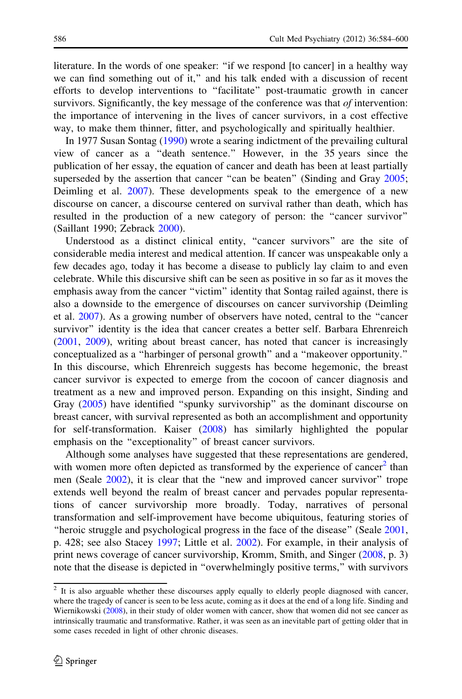literature. In the words of one speaker: ''if we respond [to cancer] in a healthy way we can find something out of it," and his talk ended with a discussion of recent efforts to develop interventions to ''facilitate'' post-traumatic growth in cancer survivors. Significantly, the key message of the conference was that  $of$  intervention: the importance of intervening in the lives of cancer survivors, in a cost effective way, to make them thinner, fitter, and psychologically and spiritually healthier.

In 1977 Susan Sontag [\(1990](#page-16-0)) wrote a searing indictment of the prevailing cultural view of cancer as a ''death sentence.'' However, in the 35 years since the publication of her essay, the equation of cancer and death has been at least partially superseded by the assertion that cancer "can be beaten" (Sinding and Gray [2005;](#page-16-0) Deimling et al. [2007](#page-14-0)). These developments speak to the emergence of a new discourse on cancer, a discourse centered on survival rather than death, which has resulted in the production of a new category of person: the ''cancer survivor'' (Saillant 1990; Zebrack [2000\)](#page-16-0).

Understood as a distinct clinical entity, ''cancer survivors'' are the site of considerable media interest and medical attention. If cancer was unspeakable only a few decades ago, today it has become a disease to publicly lay claim to and even celebrate. While this discursive shift can be seen as positive in so far as it moves the emphasis away from the cancer ''victim'' identity that Sontag railed against, there is also a downside to the emergence of discourses on cancer survivorship (Deimling et al. [2007\)](#page-14-0). As a growing number of observers have noted, central to the ''cancer survivor'' identity is the idea that cancer creates a better self. Barbara Ehrenreich [\(2001](#page-14-0), [2009](#page-14-0)), writing about breast cancer, has noted that cancer is increasingly conceptualized as a ''harbinger of personal growth'' and a ''makeover opportunity.'' In this discourse, which Ehrenreich suggests has become hegemonic, the breast cancer survivor is expected to emerge from the cocoon of cancer diagnosis and treatment as a new and improved person. Expanding on this insight, Sinding and Gray [\(2005](#page-16-0)) have identified "spunky survivorship" as the dominant discourse on breast cancer, with survival represented as both an accomplishment and opportunity for self-transformation. Kaiser [\(2008](#page-14-0)) has similarly highlighted the popular emphasis on the ''exceptionality'' of breast cancer survivors.

Although some analyses have suggested that these representations are gendered, with women more often depicted as transformed by the experience of cancer<sup>2</sup> than men (Seale [2002\)](#page-15-0), it is clear that the "new and improved cancer survivor" trope extends well beyond the realm of breast cancer and pervades popular representations of cancer survivorship more broadly. Today, narratives of personal transformation and self-improvement have become ubiquitous, featuring stories of "heroic struggle and psychological progress in the face of the disease" (Seale [2001,](#page-15-0) p. 428; see also Stacey [1997](#page-16-0); Little et al. [2002\)](#page-15-0). For example, in their analysis of print news coverage of cancer survivorship, Kromm, Smith, and Singer ([2008,](#page-15-0) p. 3) note that the disease is depicted in ''overwhelmingly positive terms,'' with survivors

 $2$  It is also arguable whether these discourses apply equally to elderly people diagnosed with cancer, where the tragedy of cancer is seen to be less acute, coming as it does at the end of a long life. Sinding and Wiernikowski [\(2008\)](#page-16-0), in their study of older women with cancer, show that women did not see cancer as intrinsically traumatic and transformative. Rather, it was seen as an inevitable part of getting older that in some cases receded in light of other chronic diseases.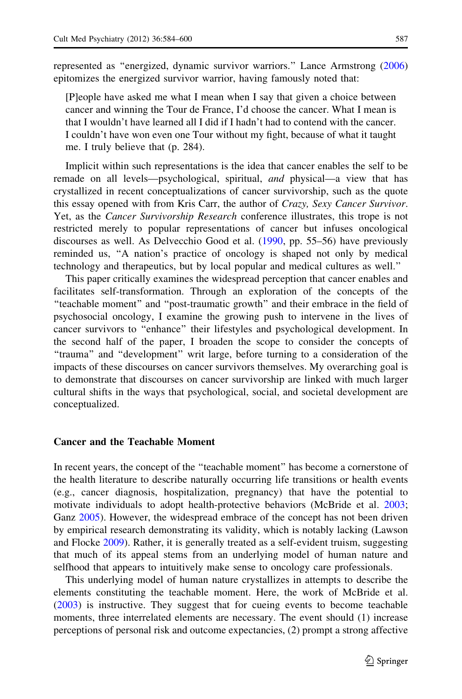[P]eople have asked me what I mean when I say that given a choice between cancer and winning the Tour de France, I'd choose the cancer. What I mean is that I wouldn't have learned all I did if I hadn't had to contend with the cancer. I couldn't have won even one Tour without my fight, because of what it taught me. I truly believe that (p. 284).

Implicit within such representations is the idea that cancer enables the self to be remade on all levels—psychological, spiritual, *and* physical—a view that has crystallized in recent conceptualizations of cancer survivorship, such as the quote this essay opened with from Kris Carr, the author of Crazy, Sexy Cancer Survivor. Yet, as the *Cancer Survivorship Research* conference illustrates, this trope is not restricted merely to popular representations of cancer but infuses oncological discourses as well. As Delvecchio Good et al. [\(1990](#page-13-0), pp. 55–56) have previously reminded us, ''A nation's practice of oncology is shaped not only by medical technology and therapeutics, but by local popular and medical cultures as well.''

This paper critically examines the widespread perception that cancer enables and facilitates self-transformation. Through an exploration of the concepts of the ''teachable moment'' and ''post-traumatic growth'' and their embrace in the field of psychosocial oncology, I examine the growing push to intervene in the lives of cancer survivors to ''enhance'' their lifestyles and psychological development. In the second half of the paper, I broaden the scope to consider the concepts of ''trauma'' and ''development'' writ large, before turning to a consideration of the impacts of these discourses on cancer survivors themselves. My overarching goal is to demonstrate that discourses on cancer survivorship are linked with much larger cultural shifts in the ways that psychological, social, and societal development are conceptualized.

# Cancer and the Teachable Moment

In recent years, the concept of the ''teachable moment'' has become a cornerstone of the health literature to describe naturally occurring life transitions or health events (e.g., cancer diagnosis, hospitalization, pregnancy) that have the potential to motivate individuals to adopt health-protective behaviors (McBride et al. [2003;](#page-15-0) Ganz [2005](#page-14-0)). However, the widespread embrace of the concept has not been driven by empirical research demonstrating its validity, which is notably lacking (Lawson and Flocke [2009](#page-15-0)). Rather, it is generally treated as a self-evident truism, suggesting that much of its appeal stems from an underlying model of human nature and selfhood that appears to intuitively make sense to oncology care professionals.

This underlying model of human nature crystallizes in attempts to describe the elements constituting the teachable moment. Here, the work of McBride et al. [\(2003](#page-15-0)) is instructive. They suggest that for cueing events to become teachable moments, three interrelated elements are necessary. The event should (1) increase perceptions of personal risk and outcome expectancies, (2) prompt a strong affective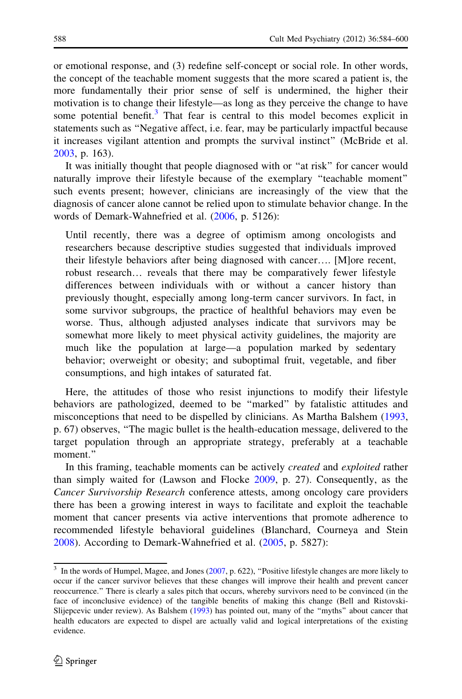or emotional response, and (3) redefine self-concept or social role. In other words, the concept of the teachable moment suggests that the more scared a patient is, the more fundamentally their prior sense of self is undermined, the higher their motivation is to change their lifestyle—as long as they perceive the change to have some potential benefit.<sup>3</sup> That fear is central to this model becomes explicit in statements such as ''Negative affect, i.e. fear, may be particularly impactful because it increases vigilant attention and prompts the survival instinct'' (McBride et al. [2003,](#page-15-0) p. 163).

It was initially thought that people diagnosed with or ''at risk'' for cancer would naturally improve their lifestyle because of the exemplary ''teachable moment'' such events present; however, clinicians are increasingly of the view that the diagnosis of cancer alone cannot be relied upon to stimulate behavior change. In the words of Demark-Wahnefried et al. ([2006](#page-14-0), p. 5126):

Until recently, there was a degree of optimism among oncologists and researchers because descriptive studies suggested that individuals improved their lifestyle behaviors after being diagnosed with cancer…. [M]ore recent, robust research… reveals that there may be comparatively fewer lifestyle differences between individuals with or without a cancer history than previously thought, especially among long-term cancer survivors. In fact, in some survivor subgroups, the practice of healthful behaviors may even be worse. Thus, although adjusted analyses indicate that survivors may be somewhat more likely to meet physical activity guidelines, the majority are much like the population at large—a population marked by sedentary behavior; overweight or obesity; and suboptimal fruit, vegetable, and fiber consumptions, and high intakes of saturated fat.

Here, the attitudes of those who resist injunctions to modify their lifestyle behaviors are pathologized, deemed to be ''marked'' by fatalistic attitudes and misconceptions that need to be dispelled by clinicians. As Martha Balshem ([1993,](#page-13-0) p. 67) observes, ''The magic bullet is the health-education message, delivered to the target population through an appropriate strategy, preferably at a teachable moment.''

In this framing, teachable moments can be actively created and exploited rather than simply waited for (Lawson and Flocke [2009,](#page-15-0) p. 27). Consequently, as the Cancer Survivorship Research conference attests, among oncology care providers there has been a growing interest in ways to facilitate and exploit the teachable moment that cancer presents via active interventions that promote adherence to recommended lifestyle behavioral guidelines (Blanchard, Courneya and Stein [2008\)](#page-13-0). According to Demark-Wahnefried et al. ([2005,](#page-14-0) p. 5827):

<sup>&</sup>lt;sup>3</sup> In the words of Humpel, Magee, and Jones ([2007,](#page-14-0) p. 622), "Positive lifestyle changes are more likely to occur if the cancer survivor believes that these changes will improve their health and prevent cancer reoccurrence.'' There is clearly a sales pitch that occurs, whereby survivors need to be convinced (in the face of inconclusive evidence) of the tangible benefits of making this change (Bell and Ristovski-Slijepcevic under review). As Balshem ([1993\)](#page-13-0) has pointed out, many of the ''myths'' about cancer that health educators are expected to dispel are actually valid and logical interpretations of the existing evidence.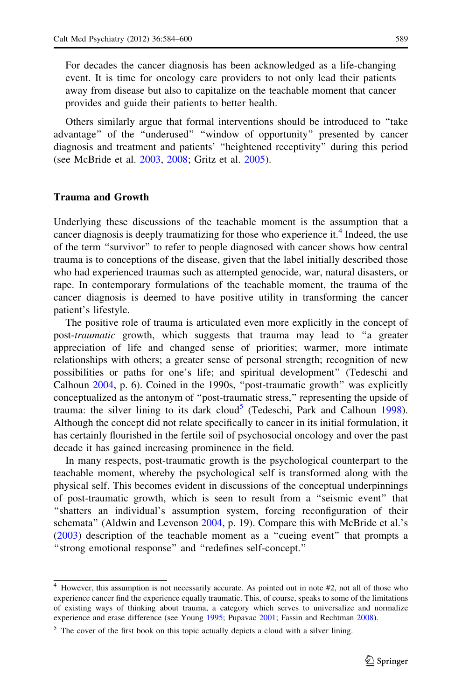For decades the cancer diagnosis has been acknowledged as a life-changing event. It is time for oncology care providers to not only lead their patients away from disease but also to capitalize on the teachable moment that cancer provides and guide their patients to better health.

Others similarly argue that formal interventions should be introduced to ''take advantage'' of the ''underused'' ''window of opportunity'' presented by cancer diagnosis and treatment and patients' ''heightened receptivity'' during this period (see McBride et al. [2003](#page-15-0), [2008;](#page-15-0) Gritz et al. [2005](#page-14-0)).

### Trauma and Growth

Underlying these discussions of the teachable moment is the assumption that a cancer diagnosis is deeply traumatizing for those who experience it.<sup>4</sup> Indeed, the use of the term ''survivor'' to refer to people diagnosed with cancer shows how central trauma is to conceptions of the disease, given that the label initially described those who had experienced traumas such as attempted genocide, war, natural disasters, or rape. In contemporary formulations of the teachable moment, the trauma of the cancer diagnosis is deemed to have positive utility in transforming the cancer patient's lifestyle.

The positive role of trauma is articulated even more explicitly in the concept of post-traumatic growth, which suggests that trauma may lead to ''a greater appreciation of life and changed sense of priorities; warmer, more intimate relationships with others; a greater sense of personal strength; recognition of new possibilities or paths for one's life; and spiritual development'' (Tedeschi and Calhoun [2004](#page-16-0), p. 6). Coined in the 1990s, ''post-traumatic growth'' was explicitly conceptualized as the antonym of ''post-traumatic stress,'' representing the upside of trauma: the silver lining to its dark cloud<sup>5</sup> (Tedeschi, Park and Calhoun [1998\)](#page-16-0). Although the concept did not relate specifically to cancer in its initial formulation, it has certainly flourished in the fertile soil of psychosocial oncology and over the past decade it has gained increasing prominence in the field.

In many respects, post-traumatic growth is the psychological counterpart to the teachable moment, whereby the psychological self is transformed along with the physical self. This becomes evident in discussions of the conceptual underpinnings of post-traumatic growth, which is seen to result from a ''seismic event'' that ''shatters an individual's assumption system, forcing reconfiguration of their schemata" (Aldwin and Levenson [2004,](#page-13-0) p. 19). Compare this with McBride et al.'s [\(2003](#page-15-0)) description of the teachable moment as a ''cueing event'' that prompts a ''strong emotional response'' and ''redefines self-concept.''

<sup>4</sup> However, this assumption is not necessarily accurate. As pointed out in note #2, not all of those who experience cancer find the experience equally traumatic. This, of course, speaks to some of the limitations of existing ways of thinking about trauma, a category which serves to universalize and normalize experience and erase difference (see Young [1995](#page-16-0); Pupavac [2001;](#page-15-0) Fassin and Rechtman [2008\)](#page-14-0).

 $<sup>5</sup>$  The cover of the first book on this topic actually depicts a cloud with a silver lining.</sup>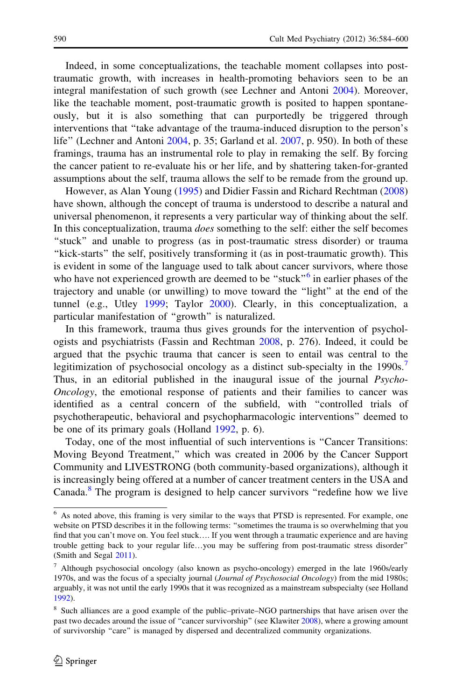Indeed, in some conceptualizations, the teachable moment collapses into posttraumatic growth, with increases in health-promoting behaviors seen to be an integral manifestation of such growth (see Lechner and Antoni [2004\)](#page-15-0). Moreover, like the teachable moment, post-traumatic growth is posited to happen spontaneously, but it is also something that can purportedly be triggered through interventions that ''take advantage of the trauma-induced disruption to the person's life'' (Lechner and Antoni [2004,](#page-15-0) p. 35; Garland et al. [2007,](#page-14-0) p. 950). In both of these framings, trauma has an instrumental role to play in remaking the self. By forcing the cancer patient to re-evaluate his or her life, and by shattering taken-for-granted assumptions about the self, trauma allows the self to be remade from the ground up.

However, as Alan Young [\(1995](#page-16-0)) and Didier Fassin and Richard Rechtman [\(2008](#page-14-0)) have shown, although the concept of trauma is understood to describe a natural and universal phenomenon, it represents a very particular way of thinking about the self. In this conceptualization, trauma *does* something to the self: either the self becomes ''stuck'' and unable to progress (as in post-traumatic stress disorder) or trauma ''kick-starts'' the self, positively transforming it (as in post-traumatic growth). This is evident in some of the language used to talk about cancer survivors, where those who have not experienced growth are deemed to be "stuck"<sup>6</sup> in earlier phases of the trajectory and unable (or unwilling) to move toward the ''light'' at the end of the tunnel (e.g., Utley [1999](#page-16-0); Taylor [2000](#page-16-0)). Clearly, in this conceptualization, a particular manifestation of ''growth'' is naturalized.

In this framework, trauma thus gives grounds for the intervention of psychologists and psychiatrists (Fassin and Rechtman [2008,](#page-14-0) p. 276). Indeed, it could be argued that the psychic trauma that cancer is seen to entail was central to the legitimization of psychosocial oncology as a distinct sub-specialty in the  $1990s$ . Thus, in an editorial published in the inaugural issue of the journal *Psycho-*Oncology, the emotional response of patients and their families to cancer was identified as a central concern of the subfield, with ''controlled trials of psychotherapeutic, behavioral and psychopharmacologic interventions'' deemed to be one of its primary goals (Holland [1992](#page-14-0), p. 6).

Today, one of the most influential of such interventions is ''Cancer Transitions: Moving Beyond Treatment,'' which was created in 2006 by the Cancer Support Community and LIVESTRONG (both community-based organizations), although it is increasingly being offered at a number of cancer treatment centers in the USA and Canada.<sup>8</sup> The program is designed to help cancer survivors "redefine how we live

<sup>6</sup> As noted above, this framing is very similar to the ways that PTSD is represented. For example, one website on PTSD describes it in the following terms: ''sometimes the trauma is so overwhelming that you find that you can't move on. You feel stuck…. If you went through a traumatic experience and are having trouble getting back to your regular life…you may be suffering from post-traumatic stress disorder'' (Smith and Segal [2011\)](#page-16-0).

<sup>7</sup> Although psychosocial oncology (also known as psycho-oncology) emerged in the late 1960s/early 1970s, and was the focus of a specialty journal (Journal of Psychosocial Oncology) from the mid 1980s; arguably, it was not until the early 1990s that it was recognized as a mainstream subspecialty (see Holland [1992\)](#page-14-0).

<sup>8</sup> Such alliances are a good example of the public–private–NGO partnerships that have arisen over the past two decades around the issue of "cancer survivorship" (see Klawiter [2008\)](#page-14-0), where a growing amount of survivorship ''care'' is managed by dispersed and decentralized community organizations.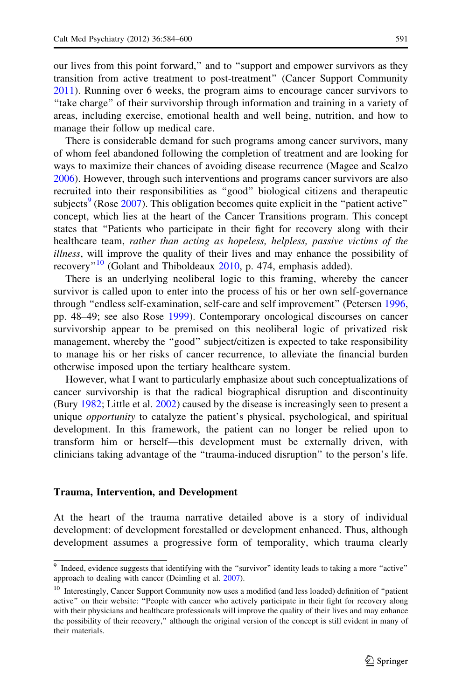our lives from this point forward,'' and to ''support and empower survivors as they transition from active treatment to post-treatment'' (Cancer Support Community [2011\)](#page-13-0). Running over 6 weeks, the program aims to encourage cancer survivors to ''take charge'' of their survivorship through information and training in a variety of areas, including exercise, emotional health and well being, nutrition, and how to manage their follow up medical care.

There is considerable demand for such programs among cancer survivors, many of whom feel abandoned following the completion of treatment and are looking for ways to maximize their chances of avoiding disease recurrence (Magee and Scalzo [2006\)](#page-15-0). However, through such interventions and programs cancer survivors are also recruited into their responsibilities as ''good'' biological citizens and therapeutic subjects<sup>9</sup> (Rose  $2007$ ). This obligation becomes quite explicit in the "patient active" concept, which lies at the heart of the Cancer Transitions program. This concept states that ''Patients who participate in their fight for recovery along with their healthcare team, rather than acting as hopeless, helpless, passive victims of the illness, will improve the quality of their lives and may enhance the possibility of recovery"<sup>10</sup> (Golant and Thiboldeaux  $2010$ , p. 474, emphasis added).

There is an underlying neoliberal logic to this framing, whereby the cancer survivor is called upon to enter into the process of his or her own self-governance through ''endless self-examination, self-care and self improvement'' (Petersen [1996,](#page-15-0) pp. 48–49; see also Rose [1999](#page-15-0)). Contemporary oncological discourses on cancer survivorship appear to be premised on this neoliberal logic of privatized risk management, whereby the ''good'' subject/citizen is expected to take responsibility to manage his or her risks of cancer recurrence, to alleviate the financial burden otherwise imposed upon the tertiary healthcare system.

However, what I want to particularly emphasize about such conceptualizations of cancer survivorship is that the radical biographical disruption and discontinuity (Bury [1982;](#page-13-0) Little et al. [2002\)](#page-15-0) caused by the disease is increasingly seen to present a unique *opportunity* to catalyze the patient's physical, psychological, and spiritual development. In this framework, the patient can no longer be relied upon to transform him or herself—this development must be externally driven, with clinicians taking advantage of the ''trauma-induced disruption'' to the person's life.

## Trauma, Intervention, and Development

At the heart of the trauma narrative detailed above is a story of individual development: of development forestalled or development enhanced. Thus, although development assumes a progressive form of temporality, which trauma clearly

<sup>&</sup>lt;sup>9</sup> Indeed, evidence suggests that identifying with the "survivor" identity leads to taking a more "active" approach to dealing with cancer (Deimling et al. [2007](#page-14-0)).

<sup>&</sup>lt;sup>10</sup> Interestingly, Cancer Support Community now uses a modified (and less loaded) definition of "patient active'' on their website: ''People with cancer who actively participate in their fight for recovery along with their physicians and healthcare professionals will improve the quality of their lives and may enhance the possibility of their recovery,'' although the original version of the concept is still evident in many of their materials.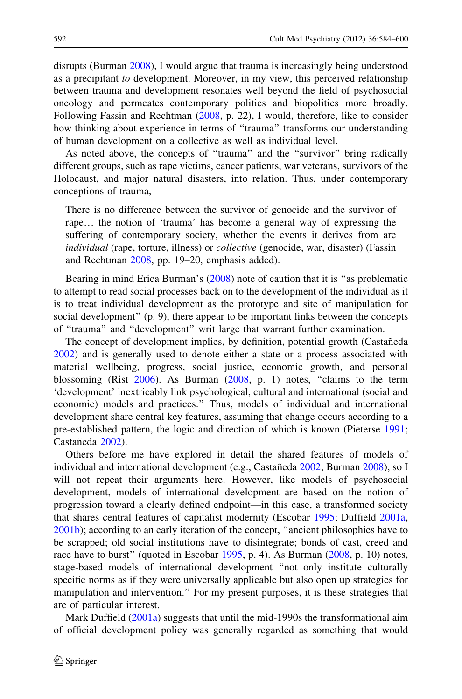disrupts (Burman [2008](#page-13-0)), I would argue that trauma is increasingly being understood as a precipitant to development. Moreover, in my view, this perceived relationship between trauma and development resonates well beyond the field of psychosocial oncology and permeates contemporary politics and biopolitics more broadly. Following Fassin and Rechtman [\(2008](#page-14-0), p. 22), I would, therefore, like to consider how thinking about experience in terms of ''trauma'' transforms our understanding of human development on a collective as well as individual level.

As noted above, the concepts of ''trauma'' and the ''survivor'' bring radically different groups, such as rape victims, cancer patients, war veterans, survivors of the Holocaust, and major natural disasters, into relation. Thus, under contemporary conceptions of trauma,

There is no difference between the survivor of genocide and the survivor of rape… the notion of 'trauma' has become a general way of expressing the suffering of contemporary society, whether the events it derives from are individual (rape, torture, illness) or *collective* (genocide, war, disaster) (Fassin and Rechtman [2008](#page-14-0), pp. 19–20, emphasis added).

Bearing in mind Erica Burman's ([2008\)](#page-13-0) note of caution that it is ''as problematic to attempt to read social processes back on to the development of the individual as it is to treat individual development as the prototype and site of manipulation for social development" (p. 9), there appear to be important links between the concepts of ''trauma'' and ''development'' writ large that warrant further examination.

The concept of development implies, by definition, potential growth (Castan eda [2002\)](#page-13-0) and is generally used to denote either a state or a process associated with material wellbeing, progress, social justice, economic growth, and personal blossoming (Rist [2006\)](#page-15-0). As Burman ([2008,](#page-13-0) p. 1) notes, "claims to the term 'development' inextricably link psychological, cultural and international (social and economic) models and practices.'' Thus, models of individual and international development share central key features, assuming that change occurs according to a pre-established pattern, the logic and direction of which is known (Pieterse [1991;](#page-15-0) Castañeda [2002](#page-13-0)).

Others before me have explored in detail the shared features of models of individual and international development (e.g., Castañeda  $2002$ ; Burman  $2008$ ), so I will not repeat their arguments here. However, like models of psychosocial development, models of international development are based on the notion of progression toward a clearly defined endpoint—in this case, a transformed society that shares central features of capitalist modernity (Escobar [1995;](#page-14-0) Duffield [2001a,](#page-14-0) [2001b\)](#page-14-0); according to an early iteration of the concept, ''ancient philosophies have to be scrapped; old social institutions have to disintegrate; bonds of cast, creed and race have to burst'' (quoted in Escobar [1995,](#page-14-0) p. 4). As Burman ([2008,](#page-13-0) p. 10) notes, stage-based models of international development ''not only institute culturally specific norms as if they were universally applicable but also open up strategies for manipulation and intervention.'' For my present purposes, it is these strategies that are of particular interest.

Mark Duffield [\(2001a\)](#page-14-0) suggests that until the mid-1990s the transformational aim of official development policy was generally regarded as something that would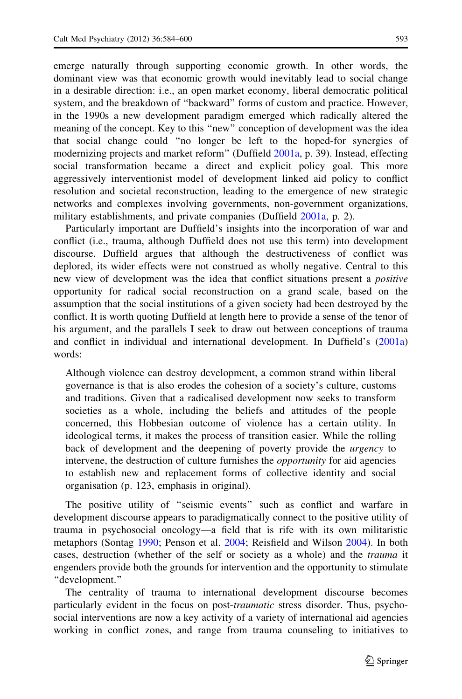emerge naturally through supporting economic growth. In other words, the dominant view was that economic growth would inevitably lead to social change in a desirable direction: i.e., an open market economy, liberal democratic political system, and the breakdown of ''backward'' forms of custom and practice. However, in the 1990s a new development paradigm emerged which radically altered the meaning of the concept. Key to this ''new'' conception of development was the idea that social change could ''no longer be left to the hoped-for synergies of modernizing projects and market reform'' (Duffield [2001a](#page-14-0), p. 39). Instead, effecting social transformation became a direct and explicit policy goal. This more aggressively interventionist model of development linked aid policy to conflict resolution and societal reconstruction, leading to the emergence of new strategic networks and complexes involving governments, non-government organizations, military establishments, and private companies (Duffield [2001a](#page-14-0), p. 2).

Particularly important are Duffield's insights into the incorporation of war and conflict (i.e., trauma, although Duffield does not use this term) into development discourse. Duffield argues that although the destructiveness of conflict was deplored, its wider effects were not construed as wholly negative. Central to this new view of development was the idea that conflict situations present a positive opportunity for radical social reconstruction on a grand scale, based on the assumption that the social institutions of a given society had been destroyed by the conflict. It is worth quoting Duffield at length here to provide a sense of the tenor of his argument, and the parallels I seek to draw out between conceptions of trauma and conflict in individual and international development. In Duffield's ([2001a\)](#page-14-0) words:

Although violence can destroy development, a common strand within liberal governance is that is also erodes the cohesion of a society's culture, customs and traditions. Given that a radicalised development now seeks to transform societies as a whole, including the beliefs and attitudes of the people concerned, this Hobbesian outcome of violence has a certain utility. In ideological terms, it makes the process of transition easier. While the rolling back of development and the deepening of poverty provide the urgency to intervene, the destruction of culture furnishes the *opportunity* for aid agencies to establish new and replacement forms of collective identity and social organisation (p. 123, emphasis in original).

The positive utility of ''seismic events'' such as conflict and warfare in development discourse appears to paradigmatically connect to the positive utility of trauma in psychosocial oncology—a field that is rife with its own militaristic metaphors (Sontag [1990;](#page-16-0) Penson et al. [2004;](#page-15-0) Reisfield and Wilson [2004](#page-15-0)). In both cases, destruction (whether of the self or society as a whole) and the trauma it engenders provide both the grounds for intervention and the opportunity to stimulate ''development.''

The centrality of trauma to international development discourse becomes particularly evident in the focus on post-*traumatic* stress disorder. Thus, psychosocial interventions are now a key activity of a variety of international aid agencies working in conflict zones, and range from trauma counseling to initiatives to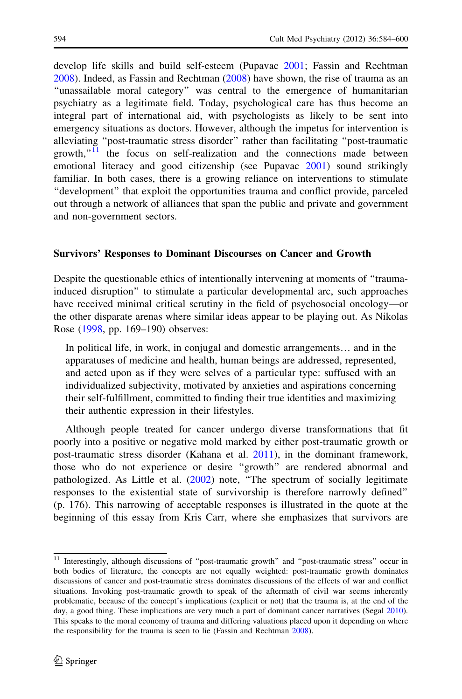develop life skills and build self-esteem (Pupavac [2001;](#page-15-0) Fassin and Rechtman [2008\)](#page-14-0). Indeed, as Fassin and Rechtman [\(2008](#page-14-0)) have shown, the rise of trauma as an ''unassailable moral category'' was central to the emergence of humanitarian psychiatry as a legitimate field. Today, psychological care has thus become an integral part of international aid, with psychologists as likely to be sent into emergency situations as doctors. However, although the impetus for intervention is alleviating ''post-traumatic stress disorder'' rather than facilitating ''post-traumatic growth, $v^{11}$  the focus on self-realization and the connections made between emotional literacy and good citizenship (see Pupavac [2001\)](#page-15-0) sound strikingly familiar. In both cases, there is a growing reliance on interventions to stimulate ''development'' that exploit the opportunities trauma and conflict provide, parceled out through a network of alliances that span the public and private and government and non-government sectors.

### Survivors' Responses to Dominant Discourses on Cancer and Growth

Despite the questionable ethics of intentionally intervening at moments of ''traumainduced disruption'' to stimulate a particular developmental arc, such approaches have received minimal critical scrutiny in the field of psychosocial oncology—or the other disparate arenas where similar ideas appear to be playing out. As Nikolas Rose ([1998,](#page-15-0) pp. 169–190) observes:

In political life, in work, in conjugal and domestic arrangements… and in the apparatuses of medicine and health, human beings are addressed, represented, and acted upon as if they were selves of a particular type: suffused with an individualized subjectivity, motivated by anxieties and aspirations concerning their self-fulfillment, committed to finding their true identities and maximizing their authentic expression in their lifestyles.

Although people treated for cancer undergo diverse transformations that fit poorly into a positive or negative mold marked by either post-traumatic growth or post-traumatic stress disorder (Kahana et al. [2011\)](#page-14-0), in the dominant framework, those who do not experience or desire ''growth'' are rendered abnormal and pathologized. As Little et al. ([2002\)](#page-15-0) note, ''The spectrum of socially legitimate responses to the existential state of survivorship is therefore narrowly defined'' (p. 176). This narrowing of acceptable responses is illustrated in the quote at the beginning of this essay from Kris Carr, where she emphasizes that survivors are

<sup>&</sup>lt;sup>11</sup> Interestingly, although discussions of "post-traumatic growth" and "post-traumatic stress" occur in both bodies of literature, the concepts are not equally weighted: post-traumatic growth dominates discussions of cancer and post-traumatic stress dominates discussions of the effects of war and conflict situations. Invoking post-traumatic growth to speak of the aftermath of civil war seems inherently problematic, because of the concept's implications (explicit or not) that the trauma is, at the end of the day, a good thing. These implications are very much a part of dominant cancer narratives (Segal [2010\)](#page-15-0). This speaks to the moral economy of trauma and differing valuations placed upon it depending on where the responsibility for the trauma is seen to lie (Fassin and Rechtman [2008\)](#page-14-0).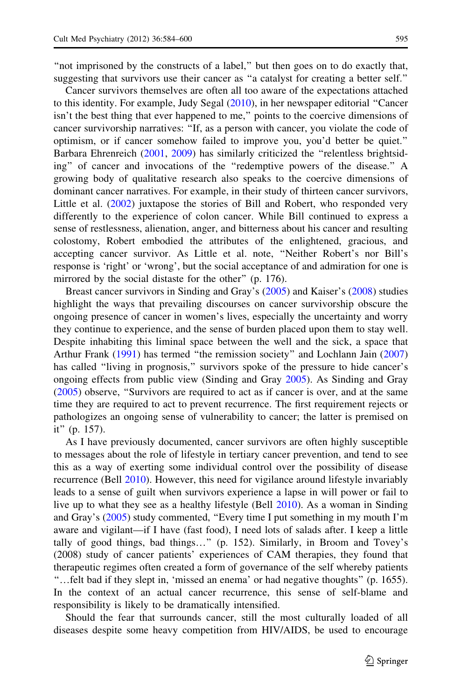''not imprisoned by the constructs of a label,'' but then goes on to do exactly that, suggesting that survivors use their cancer as ''a catalyst for creating a better self.''

Cancer survivors themselves are often all too aware of the expectations attached to this identity. For example, Judy Segal [\(2010](#page-15-0)), in her newspaper editorial ''Cancer isn't the best thing that ever happened to me,'' points to the coercive dimensions of cancer survivorship narratives: ''If, as a person with cancer, you violate the code of optimism, or if cancer somehow failed to improve you, you'd better be quiet.'' Barbara Ehrenreich [\(2001](#page-14-0), [2009](#page-14-0)) has similarly criticized the ''relentless brightsiding'' of cancer and invocations of the ''redemptive powers of the disease.'' A growing body of qualitative research also speaks to the coercive dimensions of dominant cancer narratives. For example, in their study of thirteen cancer survivors, Little et al. [\(2002](#page-15-0)) juxtapose the stories of Bill and Robert, who responded very differently to the experience of colon cancer. While Bill continued to express a sense of restlessness, alienation, anger, and bitterness about his cancer and resulting colostomy, Robert embodied the attributes of the enlightened, gracious, and accepting cancer survivor. As Little et al. note, ''Neither Robert's nor Bill's response is 'right' or 'wrong', but the social acceptance of and admiration for one is mirrored by the social distaste for the other" (p. 176).

Breast cancer survivors in Sinding and Gray's ([2005\)](#page-16-0) and Kaiser's ([2008\)](#page-14-0) studies highlight the ways that prevailing discourses on cancer survivorship obscure the ongoing presence of cancer in women's lives, especially the uncertainty and worry they continue to experience, and the sense of burden placed upon them to stay well. Despite inhabiting this liminal space between the well and the sick, a space that Arthur Frank [\(1991](#page-14-0)) has termed "the remission society" and Lochlann Jain [\(2007](#page-14-0)) has called "living in prognosis," survivors spoke of the pressure to hide cancer's ongoing effects from public view (Sinding and Gray [2005\)](#page-16-0). As Sinding and Gray [\(2005](#page-16-0)) observe, ''Survivors are required to act as if cancer is over, and at the same time they are required to act to prevent recurrence. The first requirement rejects or pathologizes an ongoing sense of vulnerability to cancer; the latter is premised on it'' (p. 157).

As I have previously documented, cancer survivors are often highly susceptible to messages about the role of lifestyle in tertiary cancer prevention, and tend to see this as a way of exerting some individual control over the possibility of disease recurrence (Bell [2010\)](#page-13-0). However, this need for vigilance around lifestyle invariably leads to a sense of guilt when survivors experience a lapse in will power or fail to live up to what they see as a healthy lifestyle (Bell [2010\)](#page-13-0). As a woman in Sinding and Gray's ([2005\)](#page-16-0) study commented, ''Every time I put something in my mouth I'm aware and vigilant—if I have (fast food), I need lots of salads after. I keep a little tally of good things, bad things…'' (p. 152). Similarly, in Broom and Tovey's (2008) study of cancer patients' experiences of CAM therapies, they found that therapeutic regimes often created a form of governance of the self whereby patients ''…felt bad if they slept in, 'missed an enema' or had negative thoughts'' (p. 1655). In the context of an actual cancer recurrence, this sense of self-blame and responsibility is likely to be dramatically intensified.

Should the fear that surrounds cancer, still the most culturally loaded of all diseases despite some heavy competition from HIV/AIDS, be used to encourage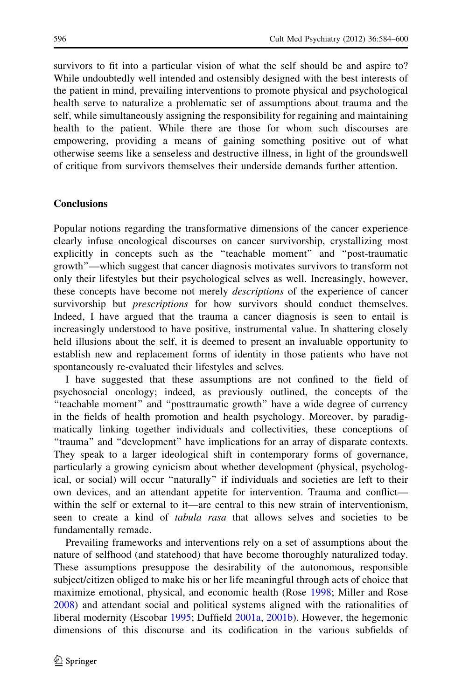survivors to fit into a particular vision of what the self should be and aspire to? While undoubtedly well intended and ostensibly designed with the best interests of the patient in mind, prevailing interventions to promote physical and psychological health serve to naturalize a problematic set of assumptions about trauma and the self, while simultaneously assigning the responsibility for regaining and maintaining health to the patient. While there are those for whom such discourses are empowering, providing a means of gaining something positive out of what otherwise seems like a senseless and destructive illness, in light of the groundswell of critique from survivors themselves their underside demands further attention.

## **Conclusions**

Popular notions regarding the transformative dimensions of the cancer experience clearly infuse oncological discourses on cancer survivorship, crystallizing most explicitly in concepts such as the ''teachable moment'' and ''post-traumatic growth''—which suggest that cancer diagnosis motivates survivors to transform not only their lifestyles but their psychological selves as well. Increasingly, however, these concepts have become not merely *descriptions* of the experience of cancer survivorship but *prescriptions* for how survivors should conduct themselves. Indeed, I have argued that the trauma a cancer diagnosis is seen to entail is increasingly understood to have positive, instrumental value. In shattering closely held illusions about the self, it is deemed to present an invaluable opportunity to establish new and replacement forms of identity in those patients who have not spontaneously re-evaluated their lifestyles and selves.

I have suggested that these assumptions are not confined to the field of psychosocial oncology; indeed, as previously outlined, the concepts of the ''teachable moment'' and ''posttraumatic growth'' have a wide degree of currency in the fields of health promotion and health psychology. Moreover, by paradigmatically linking together individuals and collectivities, these conceptions of "trauma" and "development" have implications for an array of disparate contexts. They speak to a larger ideological shift in contemporary forms of governance, particularly a growing cynicism about whether development (physical, psychological, or social) will occur ''naturally'' if individuals and societies are left to their own devices, and an attendant appetite for intervention. Trauma and conflict within the self or external to it—are central to this new strain of interventionism, seen to create a kind of tabula rasa that allows selves and societies to be fundamentally remade.

Prevailing frameworks and interventions rely on a set of assumptions about the nature of selfhood (and statehood) that have become thoroughly naturalized today. These assumptions presuppose the desirability of the autonomous, responsible subject/citizen obliged to make his or her life meaningful through acts of choice that maximize emotional, physical, and economic health (Rose [1998](#page-15-0); Miller and Rose [2008\)](#page-15-0) and attendant social and political systems aligned with the rationalities of liberal modernity (Escobar [1995;](#page-14-0) Duffield [2001a](#page-14-0), [2001b\)](#page-14-0). However, the hegemonic dimensions of this discourse and its codification in the various subfields of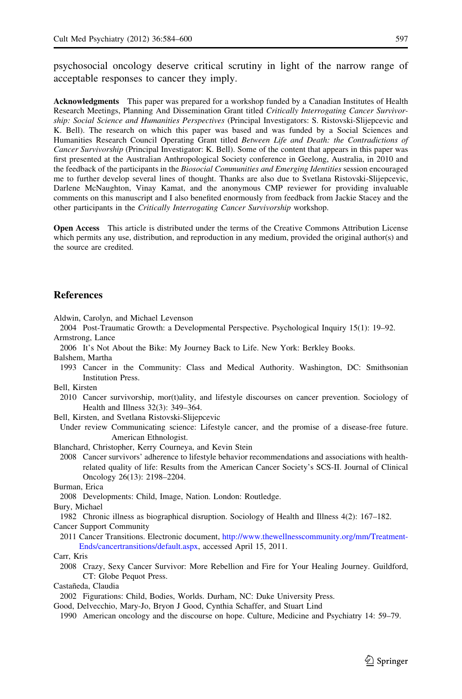<span id="page-13-0"></span>psychosocial oncology deserve critical scrutiny in light of the narrow range of acceptable responses to cancer they imply.

Acknowledgments This paper was prepared for a workshop funded by a Canadian Institutes of Health Research Meetings, Planning And Dissemination Grant titled Critically Interrogating Cancer Survivorship: Social Science and Humanities Perspectives (Principal Investigators: S. Ristovski-Slijepcevic and K. Bell). The research on which this paper was based and was funded by a Social Sciences and Humanities Research Council Operating Grant titled Between Life and Death: the Contradictions of Cancer Survivorship (Principal Investigator: K. Bell). Some of the content that appears in this paper was first presented at the Australian Anthropological Society conference in Geelong, Australia, in 2010 and the feedback of the participants in the Biosocial Communities and Emerging Identities session encouraged me to further develop several lines of thought. Thanks are also due to Svetlana Ristovski-Slijepcevic, Darlene McNaughton, Vinay Kamat, and the anonymous CMP reviewer for providing invaluable comments on this manuscript and I also benefited enormously from feedback from Jackie Stacey and the other participants in the Critically Interrogating Cancer Survivorship workshop.

Open Access This article is distributed under the terms of the Creative Commons Attribution License which permits any use, distribution, and reproduction in any medium, provided the original author(s) and the source are credited.

### **References**

Aldwin, Carolyn, and Michael Levenson

- 2004 Post-Traumatic Growth: a Developmental Perspective. Psychological Inquiry 15(1): 19–92. Armstrong, Lance
- 2006 It's Not About the Bike: My Journey Back to Life. New York: Berkley Books.
- Balshem, Martha
	- 1993 Cancer in the Community: Class and Medical Authority. Washington, DC: Smithsonian Institution Press.
- Bell, Kirsten
- 2010 Cancer survivorship, mor(t)ality, and lifestyle discourses on cancer prevention. Sociology of Health and Illness 32(3): 349–364.
- Bell, Kirsten, and Svetlana Ristovski-Slijepcevic
- Under review Communicating science: Lifestyle cancer, and the promise of a disease-free future. American Ethnologist.

Blanchard, Christopher, Kerry Courneya, and Kevin Stein

2008 Cancer survivors' adherence to lifestyle behavior recommendations and associations with healthrelated quality of life: Results from the American Cancer Society's SCS-II. Journal of Clinical Oncology 26(13): 2198–2204.

#### Burman, Erica

2008 Developments: Child, Image, Nation. London: Routledge.

Bury, Michael

- 1982 Chronic illness as biographical disruption. Sociology of Health and Illness 4(2): 167–182. Cancer Support Community
- 2011 Cancer Transitions. Electronic document, [http://www.thewellnesscommunity.org/mm/Treatment-](http://www.thewellnesscommunity.org/mm/Treatment-Ends/cancertransitions/default.aspx)[Ends/cancertransitions/default.aspx](http://www.thewellnesscommunity.org/mm/Treatment-Ends/cancertransitions/default.aspx), accessed April 15, 2011.

#### Carr, Kris

- 2008 Crazy, Sexy Cancer Survivor: More Rebellion and Fire for Your Healing Journey. Guildford, CT: Globe Pequot Press.
- Castañeda, Claudia
- 2002 Figurations: Child, Bodies, Worlds. Durham, NC: Duke University Press.
- Good, Delvecchio, Mary-Jo, Bryon J Good, Cynthia Schaffer, and Stuart Lind
- 1990 American oncology and the discourse on hope. Culture, Medicine and Psychiatry 14: 59–79.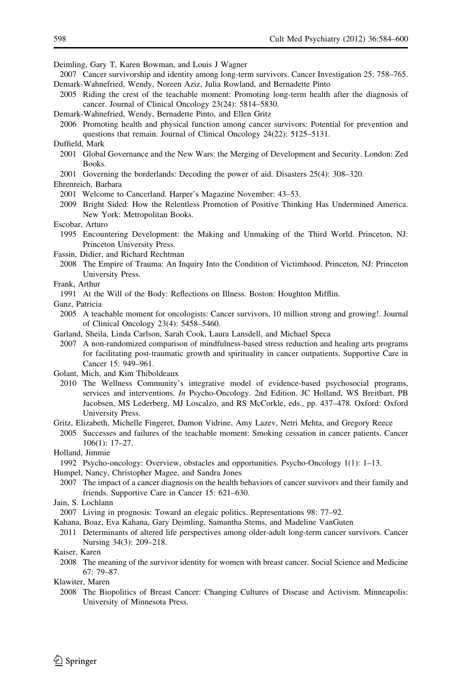<span id="page-14-0"></span>Deimling, Gary T, Karen Bowman, and Louis J Wagner

- 2007 Cancer survivorship and identity among long-term survivors. Cancer Investigation 25: 758–765. Demark-Wahnefried, Wendy, Noreen Aziz, Julia Rowland, and Bernadette Pinto
- 2005 Riding the crest of the teachable moment: Promoting long-term health after the diagnosis of cancer. Journal of Clinical Oncology 23(24): 5814–5830.
- Demark-Wahnefried, Wendy, Bernadette Pinto, and Ellen Gritz
- 2006 Promoting health and physical function among cancer survivors: Potential for prevention and questions that remain. Journal of Clinical Oncology 24(22): 5125–5131.
- Duffield, Mark
	- 2001 Global Governance and the New Wars: the Merging of Development and Security. London: Zed Books.
- 2001 Governing the borderlands: Decoding the power of aid. Disasters 25(4): 308–320.

Ehrenreich, Barbara

- 2001 Welcome to Cancerland. Harper's Magazine November: 43–53.
- 2009 Bright Sided: How the Relentless Promotion of Positive Thinking Has Undermined America. New York: Metropolitan Books.
- Escobar, Arturo
	- 1995 Encountering Development: the Making and Unmaking of the Third World. Princeton, NJ: Princeton University Press.
- Fassin, Didier, and Richard Rechtman
- 2008 The Empire of Trauma: An Inquiry Into the Condition of Victimhood. Princeton, NJ: Princeton University Press.
- Frank, Arthur
- 1991 At the Will of the Body: Reflections on Illness. Boston: Houghton Mifflin.

Ganz, Patricia

- 2005 A teachable moment for oncologists: Cancer survivors, 10 million strong and growing!. Journal of Clinical Oncology 23(4): 5458–5460.
- Garland, Sheila, Linda Carlson, Sarah Cook, Laura Lansdell, and Michael Speca
	- 2007 A non-randomized comparison of mindfulness-based stress reduction and healing arts programs for facilitating post-traumatic growth and spirituality in cancer outpatients. Supportive Care in Cancer 15: 949–961.
- Golant, Mich, and Kim Thiboldeaux
- 2010 The Wellness Community's integrative model of evidence-based psychosocial programs, services and interventions. In Psycho-Oncology. 2nd Edition. JC Holland, WS Breitbart, PB Jacobsen, MS Lederberg, MJ Loscalzo, and RS McCorkle, eds., pp. 437–478. Oxford: Oxford University Press.
- Gritz, Elizabeth, Michelle Fingeret, Damon Vidrine, Amy Lazev, Netri Mehta, and Gregory Reece 2005 Successes and failures of the teachable moment: Smoking cessation in cancer patients. Cancer 106(1): 17–27.

#### Holland, Jimmie

- 1992 Psycho-oncology: Overview, obstacles and opportunities. Psycho-Oncology 1(1): 1–13.
- Humpel, Nancy, Christopher Magee, and Sandra Jones
- 2007 The impact of a cancer diagnosis on the health behaviors of cancer survivors and their family and friends. Supportive Care in Cancer 15: 621–630.
- Jain, S. Lochlann
- 2007 Living in prognosis: Toward an elegaic politics. Representations 98: 77–92.
- Kahana, Boaz, Eva Kahana, Gary Deimling, Samantha Stems, and Madeline VanGuten
- 2011 Determinants of altered life perspectives among older-adult long-term cancer survivors. Cancer Nursing 34(3): 209–218.

Kaiser, Karen

2008 The meaning of the survivor identity for women with breast cancer. Social Science and Medicine 67: 79–87.

Klawiter, Maren

2008 The Biopolitics of Breast Cancer: Changing Cultures of Disease and Activism. Minneapolis: University of Minnesota Press.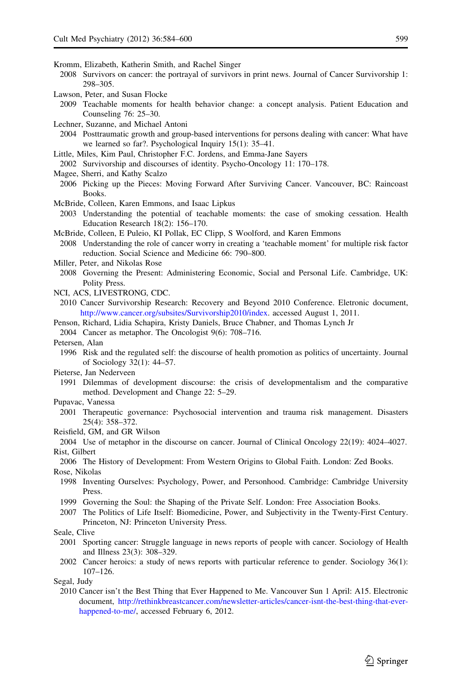- <span id="page-15-0"></span>Kromm, Elizabeth, Katherin Smith, and Rachel Singer
	- 2008 Survivors on cancer: the portrayal of survivors in print news. Journal of Cancer Survivorship 1: 298–305.
- Lawson, Peter, and Susan Flocke
- 2009 Teachable moments for health behavior change: a concept analysis. Patient Education and Counseling 76: 25–30.
- Lechner, Suzanne, and Michael Antoni
- 2004 Posttraumatic growth and group-based interventions for persons dealing with cancer: What have we learned so far?. Psychological Inquiry 15(1): 35–41.
- Little, Miles, Kim Paul, Christopher F.C. Jordens, and Emma-Jane Sayers
- 2002 Survivorship and discourses of identity. Psycho-Oncology 11: 170–178.
- Magee, Sherri, and Kathy Scalzo
- 2006 Picking up the Pieces: Moving Forward After Surviving Cancer. Vancouver, BC: Raincoast Books.
- McBride, Colleen, Karen Emmons, and Isaac Lipkus
	- 2003 Understanding the potential of teachable moments: the case of smoking cessation. Health Education Research 18(2): 156–170.
- McBride, Colleen, E Puleio, KI Pollak, EC Clipp, S Woolford, and Karen Emmons
- 2008 Understanding the role of cancer worry in creating a 'teachable moment' for multiple risk factor reduction. Social Science and Medicine 66: 790–800.
- Miller, Peter, and Nikolas Rose
- 2008 Governing the Present: Administering Economic, Social and Personal Life. Cambridge, UK: Polity Press.
- NCI, ACS, LIVESTRONG, CDC.
- 2010 Cancer Survivorship Research: Recovery and Beyond 2010 Conference. Eletronic document, [http://www.cancer.org/subsites/Survivorship2010/index.](http://www.cancer.org/subsites/Survivorship2010/index) accessed August 1, 2011.
- Penson, Richard, Lidia Schapira, Kristy Daniels, Bruce Chabner, and Thomas Lynch Jr
- 2004 Cancer as metaphor. The Oncologist 9(6): 708–716.
- Petersen, Alan
	- 1996 Risk and the regulated self: the discourse of health promotion as politics of uncertainty. Journal of Sociology 32(1): 44–57.
- Pieterse, Jan Nederveen
	- 1991 Dilemmas of development discourse: the crisis of developmentalism and the comparative method. Development and Change 22: 5–29.
- Pupavac, Vanessa
	- 2001 Therapeutic governance: Psychosocial intervention and trauma risk management. Disasters 25(4): 358–372.
- Reisfield, GM, and GR Wilson

2004 Use of metaphor in the discourse on cancer. Journal of Clinical Oncology 22(19): 4024–4027. Rist, Gilbert

2006 The History of Development: From Western Origins to Global Faith. London: Zed Books. Rose, Nikolas

- 1998 Inventing Ourselves: Psychology, Power, and Personhood. Cambridge: Cambridge University Press.
- 1999 Governing the Soul: the Shaping of the Private Self. London: Free Association Books.
- 2007 The Politics of Life Itself: Biomedicine, Power, and Subjectivity in the Twenty-First Century. Princeton, NJ: Princeton University Press.
- Seale, Clive
	- 2001 Sporting cancer: Struggle language in news reports of people with cancer. Sociology of Health and Illness 23(3): 308–329.
	- 2002 Cancer heroics: a study of news reports with particular reference to gender. Sociology 36(1): 107–126.

Segal, Judy

2010 Cancer isn't the Best Thing that Ever Happened to Me. Vancouver Sun 1 April: A15. Electronic document, [http://rethinkbreastcancer.com/newsletter-articles/cancer-isnt-the-best-thing-that-ever](http://rethinkbreastcancer.com/newsletter-articles/cancer-isnt-the-best-thing-that-ever-happened-to-me/)[happened-to-me/](http://rethinkbreastcancer.com/newsletter-articles/cancer-isnt-the-best-thing-that-ever-happened-to-me/), accessed February 6, 2012.